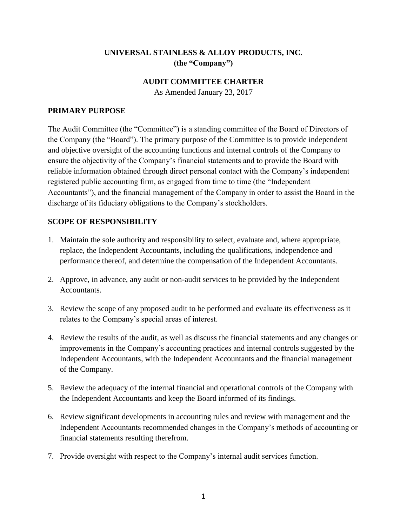## **UNIVERSAL STAINLESS & ALLOY PRODUCTS, INC. (the "Company")**

#### **AUDIT COMMITTEE CHARTER**

As Amended January 23, 2017

#### **PRIMARY PURPOSE**

The Audit Committee (the "Committee") is a standing committee of the Board of Directors of the Company (the "Board"). The primary purpose of the Committee is to provide independent and objective oversight of the accounting functions and internal controls of the Company to ensure the objectivity of the Company's financial statements and to provide the Board with reliable information obtained through direct personal contact with the Company's independent registered public accounting firm, as engaged from time to time (the "Independent Accountants"), and the financial management of the Company in order to assist the Board in the discharge of its fiduciary obligations to the Company's stockholders.

### **SCOPE OF RESPONSIBILITY**

- 1. Maintain the sole authority and responsibility to select, evaluate and, where appropriate, replace, the Independent Accountants, including the qualifications, independence and performance thereof, and determine the compensation of the Independent Accountants.
- 2. Approve, in advance, any audit or non-audit services to be provided by the Independent Accountants.
- 3. Review the scope of any proposed audit to be performed and evaluate its effectiveness as it relates to the Company's special areas of interest.
- 4. Review the results of the audit, as well as discuss the financial statements and any changes or improvements in the Company's accounting practices and internal controls suggested by the Independent Accountants, with the Independent Accountants and the financial management of the Company.
- 5. Review the adequacy of the internal financial and operational controls of the Company with the Independent Accountants and keep the Board informed of its findings.
- 6. Review significant developments in accounting rules and review with management and the Independent Accountants recommended changes in the Company's methods of accounting or financial statements resulting therefrom.
- 7. Provide oversight with respect to the Company's internal audit services function.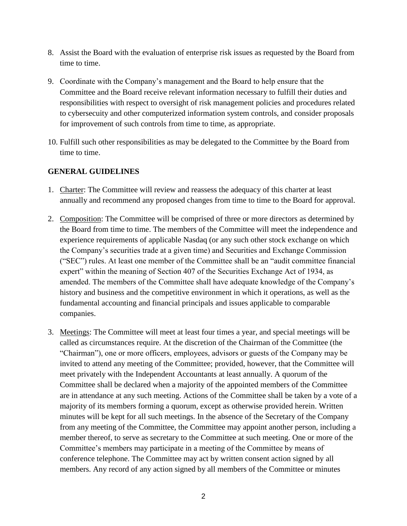- 8. Assist the Board with the evaluation of enterprise risk issues as requested by the Board from time to time.
- 9. Coordinate with the Company's management and the Board to help ensure that the Committee and the Board receive relevant information necessary to fulfill their duties and responsibilities with respect to oversight of risk management policies and procedures related to cybersecuity and other computerized information system controls, and consider proposals for improvement of such controls from time to time, as appropriate.
- 10. Fulfill such other responsibilities as may be delegated to the Committee by the Board from time to time.

### **GENERAL GUIDELINES**

- 1. Charter: The Committee will review and reassess the adequacy of this charter at least annually and recommend any proposed changes from time to time to the Board for approval.
- 2. Composition: The Committee will be comprised of three or more directors as determined by the Board from time to time. The members of the Committee will meet the independence and experience requirements of applicable Nasdaq (or any such other stock exchange on which the Company's securities trade at a given time) and Securities and Exchange Commission ("SEC") rules. At least one member of the Committee shall be an "audit committee financial expert" within the meaning of Section 407 of the Securities Exchange Act of 1934, as amended. The members of the Committee shall have adequate knowledge of the Company's history and business and the competitive environment in which it operations, as well as the fundamental accounting and financial principals and issues applicable to comparable companies.
- 3. Meetings: The Committee will meet at least four times a year, and special meetings will be called as circumstances require. At the discretion of the Chairman of the Committee (the "Chairman"), one or more officers, employees, advisors or guests of the Company may be invited to attend any meeting of the Committee; provided, however, that the Committee will meet privately with the Independent Accountants at least annually. A quorum of the Committee shall be declared when a majority of the appointed members of the Committee are in attendance at any such meeting. Actions of the Committee shall be taken by a vote of a majority of its members forming a quorum, except as otherwise provided herein. Written minutes will be kept for all such meetings. In the absence of the Secretary of the Company from any meeting of the Committee, the Committee may appoint another person, including a member thereof, to serve as secretary to the Committee at such meeting. One or more of the Committee's members may participate in a meeting of the Committee by means of conference telephone. The Committee may act by written consent action signed by all members. Any record of any action signed by all members of the Committee or minutes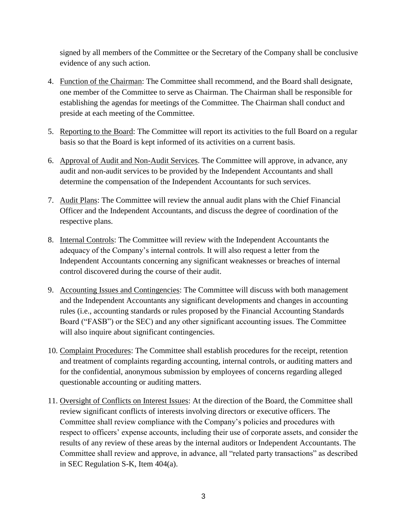signed by all members of the Committee or the Secretary of the Company shall be conclusive evidence of any such action.

- 4. Function of the Chairman: The Committee shall recommend, and the Board shall designate, one member of the Committee to serve as Chairman. The Chairman shall be responsible for establishing the agendas for meetings of the Committee. The Chairman shall conduct and preside at each meeting of the Committee.
- 5. Reporting to the Board: The Committee will report its activities to the full Board on a regular basis so that the Board is kept informed of its activities on a current basis.
- 6. Approval of Audit and Non-Audit Services. The Committee will approve, in advance, any audit and non-audit services to be provided by the Independent Accountants and shall determine the compensation of the Independent Accountants for such services.
- 7. Audit Plans: The Committee will review the annual audit plans with the Chief Financial Officer and the Independent Accountants, and discuss the degree of coordination of the respective plans.
- 8. Internal Controls: The Committee will review with the Independent Accountants the adequacy of the Company's internal controls. It will also request a letter from the Independent Accountants concerning any significant weaknesses or breaches of internal control discovered during the course of their audit.
- 9. Accounting Issues and Contingencies: The Committee will discuss with both management and the Independent Accountants any significant developments and changes in accounting rules (i.e., accounting standards or rules proposed by the Financial Accounting Standards Board ("FASB") or the SEC) and any other significant accounting issues. The Committee will also inquire about significant contingencies.
- 10. Complaint Procedures: The Committee shall establish procedures for the receipt, retention and treatment of complaints regarding accounting, internal controls, or auditing matters and for the confidential, anonymous submission by employees of concerns regarding alleged questionable accounting or auditing matters.
- 11. Oversight of Conflicts on Interest Issues: At the direction of the Board, the Committee shall review significant conflicts of interests involving directors or executive officers. The Committee shall review compliance with the Company's policies and procedures with respect to officers' expense accounts, including their use of corporate assets, and consider the results of any review of these areas by the internal auditors or Independent Accountants. The Committee shall review and approve, in advance, all "related party transactions" as described in SEC Regulation S-K, Item 404(a).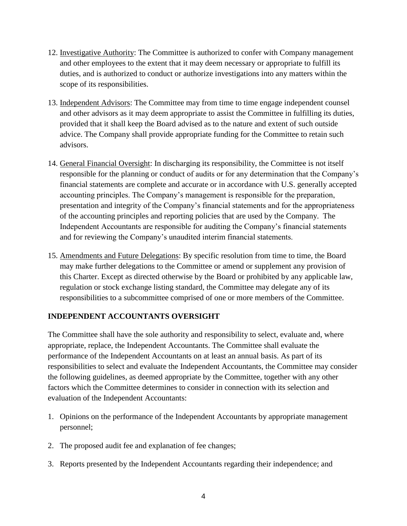- 12. Investigative Authority: The Committee is authorized to confer with Company management and other employees to the extent that it may deem necessary or appropriate to fulfill its duties, and is authorized to conduct or authorize investigations into any matters within the scope of its responsibilities.
- 13. Independent Advisors: The Committee may from time to time engage independent counsel and other advisors as it may deem appropriate to assist the Committee in fulfilling its duties, provided that it shall keep the Board advised as to the nature and extent of such outside advice. The Company shall provide appropriate funding for the Committee to retain such advisors.
- 14. General Financial Oversight: In discharging its responsibility, the Committee is not itself responsible for the planning or conduct of audits or for any determination that the Company's financial statements are complete and accurate or in accordance with U.S. generally accepted accounting principles. The Company's management is responsible for the preparation, presentation and integrity of the Company's financial statements and for the appropriateness of the accounting principles and reporting policies that are used by the Company. The Independent Accountants are responsible for auditing the Company's financial statements and for reviewing the Company's unaudited interim financial statements.
- 15. Amendments and Future Delegations: By specific resolution from time to time, the Board may make further delegations to the Committee or amend or supplement any provision of this Charter. Except as directed otherwise by the Board or prohibited by any applicable law, regulation or stock exchange listing standard, the Committee may delegate any of its responsibilities to a subcommittee comprised of one or more members of the Committee.

# **INDEPENDENT ACCOUNTANTS OVERSIGHT**

The Committee shall have the sole authority and responsibility to select, evaluate and, where appropriate, replace, the Independent Accountants. The Committee shall evaluate the performance of the Independent Accountants on at least an annual basis. As part of its responsibilities to select and evaluate the Independent Accountants, the Committee may consider the following guidelines, as deemed appropriate by the Committee, together with any other factors which the Committee determines to consider in connection with its selection and evaluation of the Independent Accountants:

- 1. Opinions on the performance of the Independent Accountants by appropriate management personnel;
- 2. The proposed audit fee and explanation of fee changes;
- 3. Reports presented by the Independent Accountants regarding their independence; and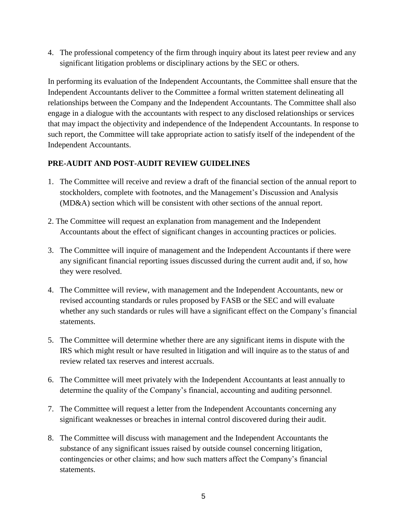4. The professional competency of the firm through inquiry about its latest peer review and any significant litigation problems or disciplinary actions by the SEC or others.

In performing its evaluation of the Independent Accountants, the Committee shall ensure that the Independent Accountants deliver to the Committee a formal written statement delineating all relationships between the Company and the Independent Accountants. The Committee shall also engage in a dialogue with the accountants with respect to any disclosed relationships or services that may impact the objectivity and independence of the Independent Accountants. In response to such report, the Committee will take appropriate action to satisfy itself of the independent of the Independent Accountants.

### **PRE-AUDIT AND POST-AUDIT REVIEW GUIDELINES**

- 1. The Committee will receive and review a draft of the financial section of the annual report to stockholders, complete with footnotes, and the Management's Discussion and Analysis (MD&A) section which will be consistent with other sections of the annual report.
- 2. The Committee will request an explanation from management and the Independent Accountants about the effect of significant changes in accounting practices or policies.
- 3. The Committee will inquire of management and the Independent Accountants if there were any significant financial reporting issues discussed during the current audit and, if so, how they were resolved.
- 4. The Committee will review, with management and the Independent Accountants, new or revised accounting standards or rules proposed by FASB or the SEC and will evaluate whether any such standards or rules will have a significant effect on the Company's financial statements.
- 5. The Committee will determine whether there are any significant items in dispute with the IRS which might result or have resulted in litigation and will inquire as to the status of and review related tax reserves and interest accruals.
- 6. The Committee will meet privately with the Independent Accountants at least annually to determine the quality of the Company's financial, accounting and auditing personnel.
- 7. The Committee will request a letter from the Independent Accountants concerning any significant weaknesses or breaches in internal control discovered during their audit.
- 8. The Committee will discuss with management and the Independent Accountants the substance of any significant issues raised by outside counsel concerning litigation, contingencies or other claims; and how such matters affect the Company's financial statements.